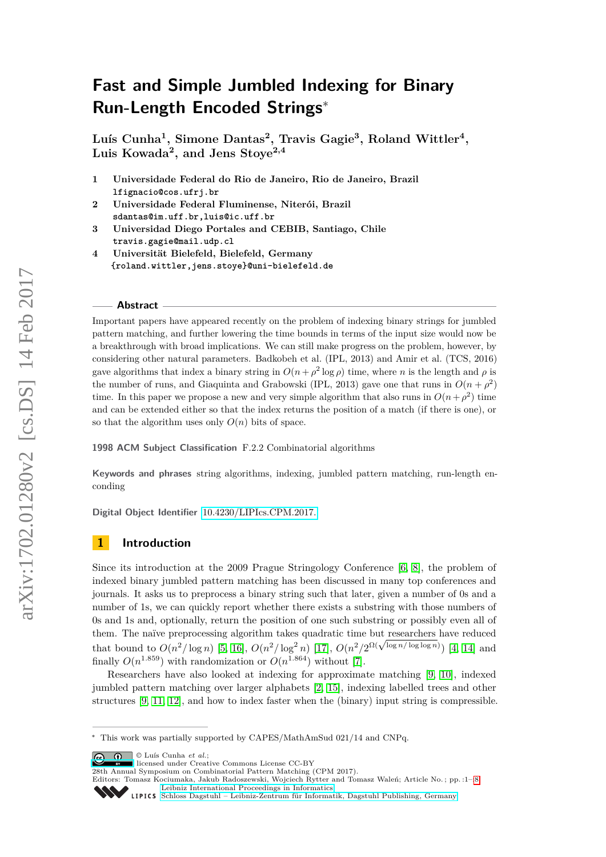# **Fast and Simple Jumbled Indexing for Binary Run-Length Encoded Strings**<sup>∗</sup>

**Luís Cunha<sup>1</sup> , Simone Dantas<sup>2</sup> , Travis Gagie<sup>3</sup> , Roland Wittler<sup>4</sup> , Luis Kowada<sup>2</sup> , and Jens Stoye2,4**

- **1 Universidade Federal do Rio de Janeiro, Rio de Janeiro, Brazil lfignacio@cos.ufrj.br**
- **2 Universidade Federal Fluminense, Niterói, Brazil sdantas@im.uff.br,luis@ic.uff.br**
- **3 Universidad Diego Portales and CEBIB, Santiago, Chile travis.gagie@mail.udp.cl**
- **4 Universität Bielefeld, Bielefeld, Germany {roland.wittler,jens.stoye}@uni-bielefeld.de**

#### **Abstract**

Important papers have appeared recently on the problem of indexing binary strings for jumbled pattern matching, and further lowering the time bounds in terms of the input size would now be a breakthrough with broad implications. We can still make progress on the problem, however, by considering other natural parameters. Badkobeh et al. (IPL, 2013) and Amir et al. (TCS, 2016) gave algorithms that index a binary string in  $O(n + \rho^2 \log \rho)$  time, where *n* is the length and  $\rho$  is the number of runs, and Giaquinta and Grabowski (IPL, 2013) gave one that runs in  $O(n + \rho^2)$ time. In this paper we propose a new and very simple algorithm that also runs in  $O(n+\rho^2)$  time and can be extended either so that the index returns the position of a match (if there is one), or so that the algorithm uses only  $O(n)$  bits of space.

**1998 ACM Subject Classification** F.2.2 Combinatorial algorithms

**Keywords and phrases** string algorithms, indexing, jumbled pattern matching, run-length enconding

**Digital Object Identifier** [10.4230/LIPIcs.CPM.2017.](http://dx.doi.org/10.4230/LIPIcs.CPM.2017.)

# **1 Introduction**

Since its introduction at the 2009 Prague Stringology Conference [\[6,](#page-7-0) [8\]](#page-7-1), the problem of indexed binary jumbled pattern matching has been discussed in many top conferences and journals. It asks us to preprocess a binary string such that later, given a number of 0s and a number of 1s, we can quickly report whether there exists a substring with those numbers of 0s and 1s and, optionally, return the position of one such substring or possibly even all of them. The naïve preprocessing algorithm takes quadratic time but researchers have reduced them. The naive preprocessing algorithm takes quadratic time but researchers have reduced that bound to  $O(n^2/\log n)$  [\[5,](#page-7-2) [16\]](#page-7-3),  $O(n^2/\log^2 n)$  [\[17\]](#page-7-4),  $O(n^2/2^{\Omega(\sqrt{\log n/\log \log n})})$  [\[4,](#page-7-5) [14\]](#page-7-6) and finally  $O(n^{1.859})$  with randomization or  $O(n^{1.864})$  without [\[7\]](#page-7-7).

Researchers have also looked at indexing for approximate matching [\[9,](#page-7-8) [10\]](#page-7-9), indexed jumbled pattern matching over larger alphabets [\[2,](#page-6-0) [15\]](#page-7-10), indexing labelled trees and other structures [\[9,](#page-7-8) [11,](#page-7-11) [12\]](#page-7-12), and how to index faster when the (binary) input string is compressible.

© Luís Cunha *et al.*;  $\boxed{6}$  0

licensed under Creative Commons License CC-BY

28th Annual Symposium on Combinatorial Pattern Matching (CPM 2017).

<sup>∗</sup> This work was partially supported by CAPES/MathAmSud 021/14 and CNPq.

Editors: Tomasz Kociumaka, Jakub Radoszewski, Wojciech Rytter and Tomasz Waleń; Article No. ; pp. :1–[:8](#page-7-13) [Leibniz International Proceedings in Informatics](http://www.dagstuhl.de/lipics/) Leibniz International riverenings in missimesise Bagstuhl Publishing, Germany<br>LIPICS [Schloss Dagstuhl – Leibniz-Zentrum für Informatik, Dagstuhl Publishing, Germany](http://www.dagstuhl.de)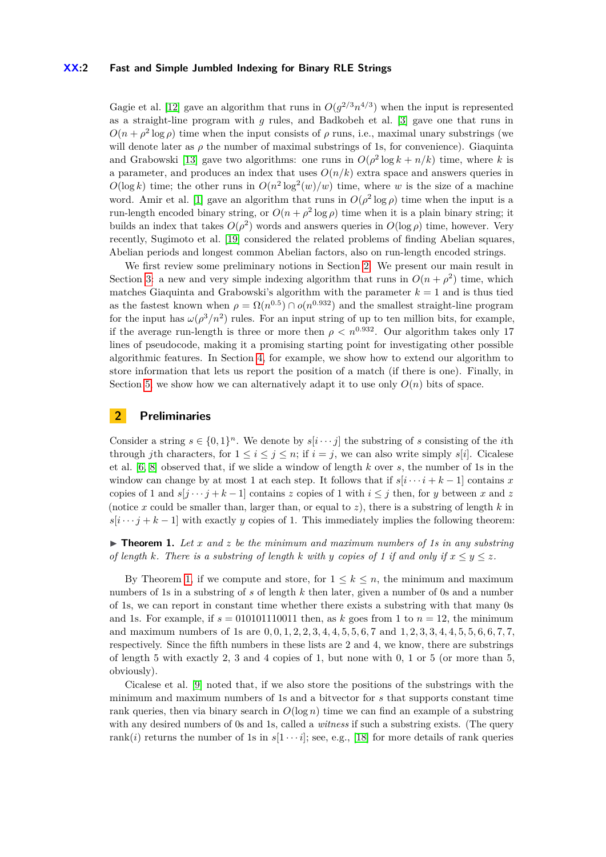#### **XX:2 Fast and Simple Jumbled Indexing for Binary RLE Strings**

Gagie et al. [\[12\]](#page-7-12) gave an algorithm that runs in  $O(g^{2/3}n^{4/3})$  when the input is represented as a straight-line program with *g* rules, and Badkobeh et al. [\[3\]](#page-6-1) gave one that runs in  $O(n + \rho^2 \log \rho)$  time when the input consists of  $\rho$  runs, i.e., maximal unary substrings (we will denote later as  $\rho$  the number of maximal substrings of 1s, for convenience). Giaquinta and Grabowski [\[13\]](#page-7-14) gave two algorithms: one runs in  $O(\rho^2 \log k + n/k)$  time, where k is a parameter, and produces an index that uses  $O(n/k)$  extra space and answers queries in  $O(\log k)$  time; the other runs in  $O(n^2 \log^2(w)/w)$  time, where *w* is the size of a machine word. Amir et al. [\[1\]](#page-6-2) gave an algorithm that runs in  $O(\rho^2 \log \rho)$  time when the input is a run-length encoded binary string, or  $O(n + \rho^2 \log \rho)$  time when it is a plain binary string; it builds an index that takes  $O(\rho^2)$  words and answers queries in  $O(\log \rho)$  time, however. Very recently, Sugimoto et al. [\[19\]](#page-7-15) considered the related problems of finding Abelian squares, Abelian periods and longest common Abelian factors, also on run-length encoded strings.

We first review some preliminary notions in Section [2.](#page-1-0) We present our main result in Section [3:](#page-2-0) a new and very simple indexing algorithm that runs in  $O(n + \rho^2)$  time, which matches Giaquinta and Grabowski's algorithm with the parameter  $k = 1$  and is thus tied as the fastest known when  $\rho = \Omega(n^{0.5}) \cap o(n^{0.932})$  and the smallest straight-line program for the input has  $\omega(\rho^3/n^2)$  rules. For an input string of up to ten million bits, for example, if the average run-length is three or more then  $\rho < n^{0.932}$ . Our algorithm takes only 17 lines of pseudocode, making it a promising starting point for investigating other possible algorithmic features. In Section [4,](#page-4-0) for example, we show how to extend our algorithm to store information that lets us report the position of a match (if there is one). Finally, in Section [5,](#page-5-0) we show how we can alternatively adapt it to use only  $O(n)$  bits of space.

## <span id="page-1-0"></span>**2 Preliminaries**

Consider a string  $s \in \{0,1\}^n$ . We denote by  $s[i \cdots j]$  the substring of *s* consisting of the *i*th through *j*th characters, for  $1 \leq i \leq j \leq n$ ; if  $i = j$ , we can also write simply  $s[i]$ . Cicalese et al. [\[6,](#page-7-0) [8\]](#page-7-1) observed that, if we slide a window of length *k* over *s*, the number of 1s in the window can change by at most 1 at each step. It follows that if  $s[i \cdots i + k - 1]$  contains x copies of 1 and  $s[j \cdots j+k-1]$  contains *z* copies of 1 with  $i \leq j$  then, for *y* between *x* and *z* (notice x could be smaller than, larger than, or equal to  $z$ ), there is a substring of length  $k$  in  $s[i \cdots j + k - 1]$  with exactly *y* copies of 1. This immediately implies the following theorem:

<span id="page-1-1"></span> $\triangleright$  **Theorem 1.** Let *x* and *z* be the minimum and maximum numbers of 1s in any substring *of length k. There is a substring of length k with y copies of 1 if and only if*  $x \le y \le z$ *.* 

By Theorem [1,](#page-1-1) if we compute and store, for  $1 \leq k \leq n$ , the minimum and maximum numbers of 1s in a substring of *s* of length *k* then later, given a number of 0s and a number of 1s, we can report in constant time whether there exists a substring with that many 0s and 1s. For example, if  $s = 010101110011$  then, as k goes from 1 to  $n = 12$ , the minimum and maximum numbers of 1s are  $0, 0, 1, 2, 2, 3, 4, 4, 5, 5, 6, 7$  and  $1, 2, 3, 3, 4, 4, 5, 5, 6, 6, 7, 7,$ respectively. Since the fifth numbers in these lists are 2 and 4, we know, there are substrings of length 5 with exactly 2, 3 and 4 copies of 1, but none with 0, 1 or 5 (or more than 5, obviously).

Cicalese et al. [\[9\]](#page-7-8) noted that, if we also store the positions of the substrings with the minimum and maximum numbers of 1s and a bitvector for *s* that supports constant time rank queries, then via binary search in  $O(\log n)$  time we can find an example of a substring with any desired numbers of 0s and 1s, called a *witness* if such a substring exists. (The query rank(*i*) returns the number of 1s in  $s[1 \cdots i]$ ; see, e.g., [\[18\]](#page-7-16) for more details of rank queries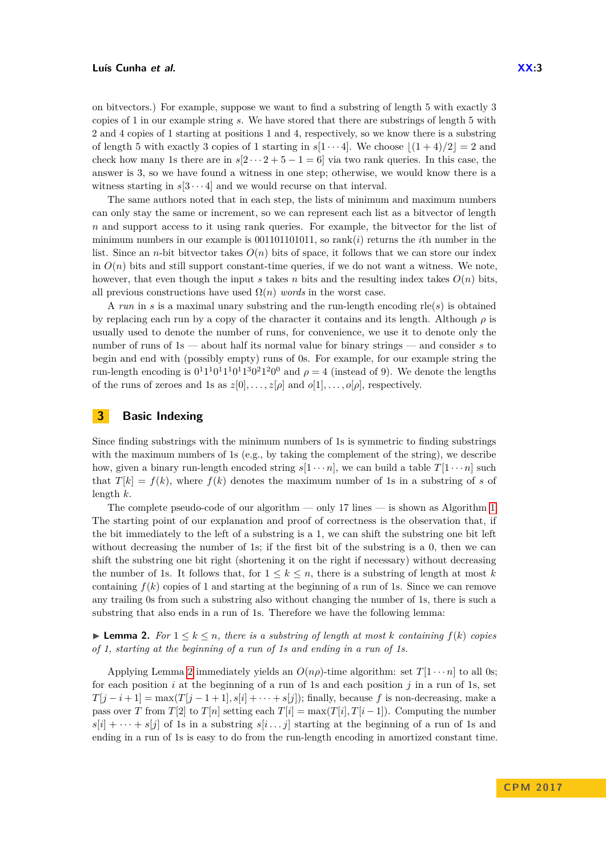on bitvectors.) For example, suppose we want to find a substring of length 5 with exactly 3 copies of 1 in our example string *s*. We have stored that there are substrings of length 5 with 2 and 4 copies of 1 starting at positions 1 and 4, respectively, so we know there is a substring of length 5 with exactly 3 copies of 1 starting in  $s[1 \cdots 4]$ . We choose  $|(1 + 4)/2| = 2$  and check how many 1s there are in  $s[2 \cdots 2 + 5 - 1 = 6]$  via two rank queries. In this case, the answer is 3, so we have found a witness in one step; otherwise, we would know there is a witness starting in  $s[3 \cdots 4]$  and we would recurse on that interval.

The same authors noted that in each step, the lists of minimum and maximum numbers can only stay the same or increment, so we can represent each list as a bitvector of length *n* and support access to it using rank queries. For example, the bitvector for the list of minimum numbers in our example is  $001101101011$ , so rank $(i)$  returns the *i*th number in the list. Since an *n*-bit bitvector takes  $O(n)$  bits of space, it follows that we can store our index in  $O(n)$  bits and still support constant-time queries, if we do not want a witness. We note, however, that even though the input *s* takes *n* bits and the resulting index takes  $O(n)$  bits, all previous constructions have used  $\Omega(n)$  *words* in the worst case.

A *run* in *s* is a maximal unary substring and the run-length encoding rle(*s*) is obtained by replacing each run by a copy of the character it contains and its length. Although *ρ* is usually used to denote the number of runs, for convenience, we use it to denote only the number of runs of 1s — about half its normal value for binary strings — and consider *s* to begin and end with (possibly empty) runs of 0s. For example, for our example string the run-length encoding is  $0<sup>1</sup>1<sup>1</sup>0<sup>1</sup>1<sup>1</sup>0<sup>1</sup>1<sup>3</sup>0<sup>2</sup>1<sup>2</sup>0<sup>0</sup>$  and  $\rho = 4$  (instead of 9). We denote the lengths of the runs of zeroes and 1s as  $z[0], \ldots, z[\rho]$  and  $o[1], \ldots, o[\rho]$ , respectively.

# <span id="page-2-0"></span>**3 Basic Indexing**

Since finding substrings with the minimum numbers of 1s is symmetric to finding substrings with the maximum numbers of 1s (e.g., by taking the complement of the string), we describe how, given a binary run-length encoded string  $s[1 \cdots n]$ , we can build a table  $T[1 \cdots n]$  such that  $T[k] = f(k)$ , where  $f(k)$  denotes the maximum number of 1s in a substring of *s* of length *k*.

The complete pseudo-code of our algorithm — only 17 lines — is shown as Algorithm [1.](#page-3-0) The starting point of our explanation and proof of correctness is the observation that, if the bit immediately to the left of a substring is a 1, we can shift the substring one bit left without decreasing the number of 1s; if the first bit of the substring is a 0, then we can shift the substring one bit right (shortening it on the right if necessary) without decreasing the number of 1s. It follows that, for  $1 \leq k \leq n$ , there is a substring of length at most k containing  $f(k)$  copies of 1 and starting at the beginning of a run of 1s. Since we can remove any trailing 0s from such a substring also without changing the number of 1s, there is such a substring that also ends in a run of 1s. Therefore we have the following lemma:

<span id="page-2-1"></span>▶ **Lemma 2.** *For*  $1 \leq k \leq n$ *, there is a substring of length at most k containing*  $f(k)$  *copies of 1, starting at the beginning of a run of 1s and ending in a run of 1s.*

Applying Lemma [2](#page-2-1) immediately yields an  $O(n\rho)$ -time algorithm: set  $T[1 \cdots n]$  to all 0s; for each position *i* at the beginning of a run of 1s and each position *j* in a run of 1s, set  $T[j-i+1] = \max(T[j-1+1], s[i] + \cdots + s[j])$ ; finally, because *f* is non-decreasing, make a pass over *T* from *T*[2] to *T*[*n*] setting each *T*[*i*] = max(*T*[*i*], *T*[*i* − 1]). Computing the number  $s[i] + \cdots + s[j]$  of 1s in a substring  $s[i \dots j]$  starting at the beginning of a run of 1s and ending in a run of 1s is easy to do from the run-length encoding in amortized constant time.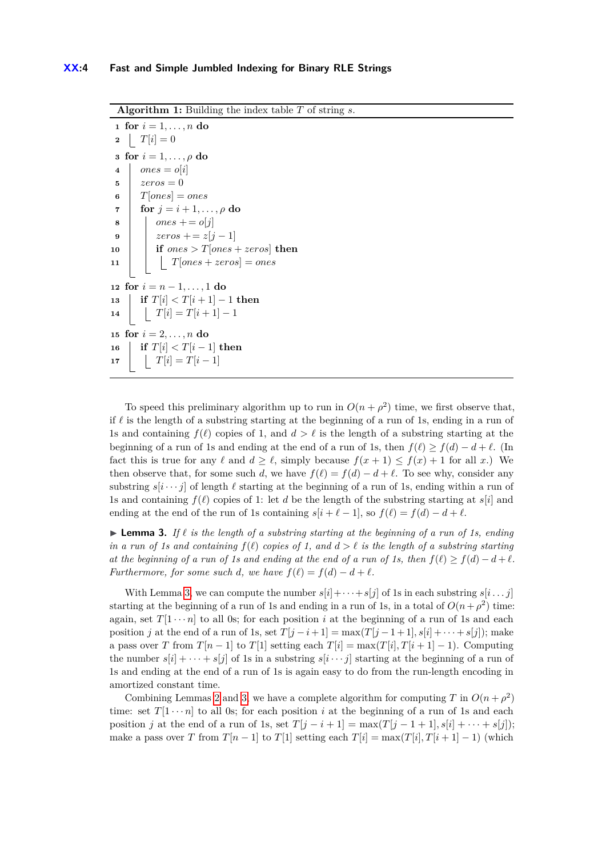**Algorithm 1:** Building the index table *T* of string *s*.

 **for**  $i = 1, ..., n$  **do 2**  $T[i] = 0$  **for**  $i = 1, \ldots, \rho$  **do**   $\vert$  *ones* = *o*[*i*]  $\frac{1}{2}$  *zeros* = 0  $\textbf{6}$  | *T*[*ones*] = *ones*  **for**  $j = i + 1, \ldots, \rho$  **do**   $\vert$  *ones* + = *o*[*j*]  $|$  *zeros* + = *z*[*j* - 1] **if**  $ones > T[ones + zeros]$  **then**  $T[ones + zeros] = ones$  **for**  $i = n - 1, ..., 1$  **do**  $13 \text{ if } T[i] < T[i+1]-1 \text{ then}$   $\vert$   $T[i] = T[i+1]-1$  **for**  $i = 2, ..., n$  **do if**  $T[i] < T[i-1]$  **then**  $T[i] = T[i-1]$ 

<span id="page-3-0"></span>To speed this preliminary algorithm up to run in  $O(n + \rho^2)$  time, we first observe that, if  $\ell$  is the length of a substring starting at the beginning of a run of 1s, ending in a run of 1s and containing  $f(\ell)$  copies of 1, and  $d > \ell$  is the length of a substring starting at the beginning of a run of 1s and ending at the end of a run of 1s, then  $f(\ell) \geq f(d) - d + \ell$ . (In fact this is true for any  $\ell$  and  $d \geq \ell$ , simply because  $f(x + 1) \leq f(x) + 1$  for all *x*.) We then observe that, for some such *d*, we have  $f(\ell) = f(d) - d + \ell$ . To see why, consider any substring  $s[i \cdots j]$  of length  $\ell$  starting at the beginning of a run of 1s, ending within a run of 1s and containing  $f(\ell)$  copies of 1: let *d* be the length of the substring starting at  $s[i]$  and ending at the end of the run of 1s containing  $s[i + \ell - 1]$ , so  $f(\ell) = f(d) - d + \ell$ .

<span id="page-3-1"></span>**Lemma 3.** If  $\ell$  is the length of a substring starting at the beginning of a run of 1s, ending *in a run of 1s and containing*  $f(\ell)$  *copies of 1, and*  $d > \ell$  *is the length of a substring starting at the beginning of a run of 1s and ending at the end of a run of 1s, then*  $f(\ell) > f(d) - d + \ell$ . *Furthermore, for some such d, we have*  $f(\ell) = f(d) - d + \ell$ .

With Lemma [3,](#page-3-1) we can compute the number  $s[i] + \cdots + s[j]$  of 1s in each substring  $s[i \dots j]$ starting at the beginning of a run of 1s and ending in a run of 1s, in a total of  $O(n+\rho^2)$  time: again, set  $T[1 \cdots n]$  to all 0s; for each position *i* at the beginning of a run of 1s and each position *j* at the end of a run of 1s, set  $T[j - i + 1] = \max(T[j - 1 + 1], s[i] + \cdots + s[j])$ ; make a pass over *T* from  $T[n-1]$  to  $T[1]$  setting each  $T[i] = \max(T[i], T[i+1]-1)$ . Computing the number  $s[i] + \cdots + s[j]$  of 1s in a substring  $s[i \cdots j]$  starting at the beginning of a run of 1s and ending at the end of a run of 1s is again easy to do from the run-length encoding in amortized constant time.

Combining Lemmas [2](#page-2-1) and [3,](#page-3-1) we have a complete algorithm for computing *T* in  $O(n + \rho^2)$ time: set  $T[1 \cdots n]$  to all 0s; for each position *i* at the beginning of a run of 1s and each position *j* at the end of a run of 1s, set  $T[j - i + 1] = \max(T[j - 1 + 1], s[i] + \cdots + s[j])$ ; make a pass over *T* from  $T[n-1]$  to  $T[1]$  setting each  $T[i] = \max(T[i], T[i+1] - 1)$  (which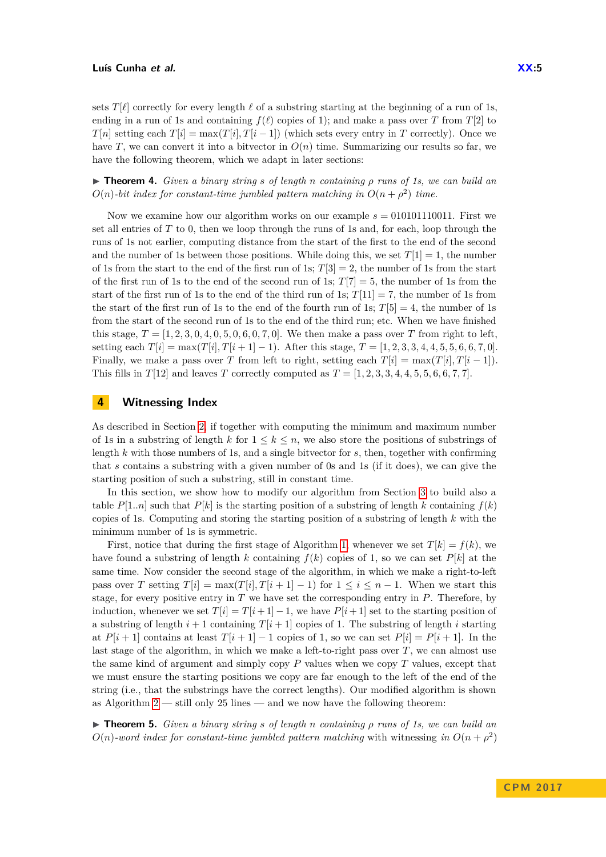sets *T*[ $\ell$ ] correctly for every length  $\ell$  of a substring starting at the beginning of a run of 1s, ending in a run of 1s and containing  $f(\ell)$  copies of 1); and make a pass over *T* from *T*[2] to *T*[*n*] setting each  $T[i] = \max(T[i], T[i-1])$  (which sets every entry in *T* correctly). Once we have *T*, we can convert it into a bitvector in  $O(n)$  time. Summarizing our results so far, we have the following theorem, which we adapt in later sections:

<span id="page-4-1"></span>I **Theorem 4.** *Given a binary string s of length n containing ρ runs of 1s, we can build an*  $O(n)$ -bit index for constant-time jumbled pattern matching in  $O(n + \rho^2)$  time.

Now we examine how our algorithm works on our example  $s = 010101110011$ . First we set all entries of *T* to 0, then we loop through the runs of 1s and, for each, loop through the runs of 1s not earlier, computing distance from the start of the first to the end of the second and the number of 1s between those positions. While doing this, we set  $T[1] = 1$ , the number of 1s from the start to the end of the first run of 1s;  $T[3] = 2$ , the number of 1s from the start of the first run of 1s to the end of the second run of 1s;  $T[7] = 5$ , the number of 1s from the start of the first run of 1s to the end of the third run of 1s;  $T[11] = 7$ , the number of 1s from the start of the first run of 1s to the end of the fourth run of 1s;  $T[5] = 4$ , the number of 1s from the start of the second run of 1s to the end of the third run; etc. When we have finished this stage,  $T = [1, 2, 3, 0, 4, 0, 5, 0, 6, 0, 7, 0]$ . We then make a pass over *T* from right to left. setting each  $T[i] = \max(T[i], T[i+1]-1)$ . After this stage,  $T = [1, 2, 3, 3, 4, 4, 5, 5, 6, 6, 7, 0]$ . Finally, we make a pass over *T* from left to right, setting each  $T[i] = \max(T[i], T[i-1])$ . This fills in  $T[12]$  and leaves *T* correctly computed as  $T = [1, 2, 3, 3, 4, 4, 5, 5, 6, 6, 7, 7]$ .

## <span id="page-4-0"></span>**4 Witnessing Index**

As described in Section [2,](#page-1-0) if together with computing the minimum and maximum number of 1s in a substring of length  $k$  for  $1 \leq k \leq n$ , we also store the positions of substrings of length *k* with those numbers of 1s, and a single bitvector for *s*, then, together with confirming that *s* contains a substring with a given number of 0s and 1s (if it does), we can give the starting position of such a substring, still in constant time.

In this section, we show how to modify our algorithm from Section [3](#page-2-0) to build also a table  $P[1..n]$  such that  $P[k]$  is the starting position of a substring of length k containing  $f(k)$ copies of 1s. Computing and storing the starting position of a substring of length *k* with the minimum number of 1s is symmetric.

First, notice that during the first stage of Algorithm [1,](#page-3-0) whenever we set  $T[k] = f(k)$ , we have found a substring of length *k* containing  $f(k)$  copies of 1, so we can set  $P[k]$  at the same time. Now consider the second stage of the algorithm, in which we make a right-to-left pass over *T* setting  $T[i] = \max(T[i], T[i+1]-1)$  for  $1 \le i \le n-1$ . When we start this stage, for every positive entry in *T* we have set the corresponding entry in *P*. Therefore, by induction, whenever we set  $T[i] = T[i+1] - 1$ , we have  $P[i+1]$  set to the starting position of a substring of length  $i + 1$  containing  $T[i + 1]$  copies of 1. The substring of length *i* starting at  $P[i+1]$  contains at least  $T[i+1] - 1$  copies of 1, so we can set  $P[i] = P[i+1]$ . In the last stage of the algorithm, in which we make a left-to-right pass over *T*, we can almost use the same kind of argument and simply copy  $P$  values when we copy  $T$  values, except that we must ensure the starting positions we copy are far enough to the left of the end of the string (i.e., that the substrings have the correct lengths). Our modified algorithm is shown as Algorithm  $2 - \text{still only } 25$  $2 - \text{still only } 25$  $2 - \text{still only } 25$  lines — and we now have the following theorem:

I **Theorem 5.** *Given a binary string s of length n containing ρ runs of 1s, we can build an*  $O(n)$ -word index for constant-time jumbled pattern matching with witnessing in  $O(n + \rho^2)$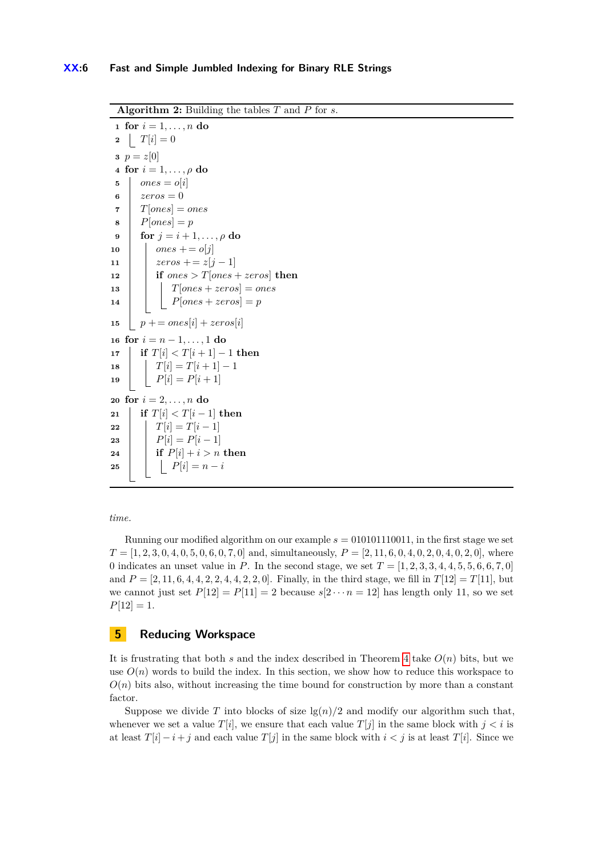**Algorithm 2:** Building the tables *T* and *P* for *s*.

 **for**  $i = 1, ..., n$  **do 2**  $T[i] = 0$ **3**  $p = z[0]$  **for**  $i = 1, \ldots, \rho$  **do**  $5 \mid ones = o[i]$  $6 \mid zeros = 0$  $\tau$  |  $T[ones] = ones$  $8 \mid P[ones] = p$  **for**  $j = i + 1, ..., \rho$  **do** *ones* + =  $o[j]$   $|$  *zeros* + = *z*[*j* − 1] **if**  $ones > T[ones + zeros]$  **then**   $\vert$   $\vert$   $\vert$   $T[ones + zeros] = ones$   $\vert \vert$   $\vert$   $P[ones + zeros] = p$  $p == ones[i] + zeros[i]$  **for**  $i = n - 1, ..., 1$  **do if**  $T[i] < T[i+1] - 1$  **then**   $\vert$   $T[i] = T[i+1]-1$  $\vert P[i] = P[i+1]$  **for**  $i = 2, ..., n$  **do if**  $T[i] < T[i-1]$  **then**  *T*[*i*] =  $T[i-1]$  **P**[*i*] =  $P[i] = P[i-1]$  **if**  $P[i] + i > n$  **then |**  $\mid$  **|**  $P[i] = n - i$ 

<span id="page-5-1"></span>*time.*

Running our modified algorithm on our example  $s = 010101110011$ , in the first stage we set  $T = [1, 2, 3, 0, 4, 0, 5, 0, 6, 0, 7, 0]$  and, simultaneously,  $P = [2, 11, 6, 0, 4, 0, 2, 0, 4, 0, 2, 0]$ , where 0 indicates an unset value in *P*. In the second stage, we set  $T = [1, 2, 3, 3, 4, 4, 5, 5, 6, 6, 7, 0]$ and  $P = \{2, 11, 6, 4, 4, 2, 2, 4, 4, 2, 2, 0\}$ . Finally, in the third stage, we fill in  $T[12] = T[11]$ , but we cannot just set  $P[12] = P[11] = 2$  because  $s[2 \cdots n] = 12$  has length only 11, so we set  $P[12] = 1.$ 

# <span id="page-5-0"></span>**5 Reducing Workspace**

It is frustrating that both  $s$  and the index described in Theorem [4](#page-4-1) take  $O(n)$  bits, but we use  $O(n)$  words to build the index. In this section, we show how to reduce this workspace to  $O(n)$  bits also, without increasing the time bound for construction by more than a constant factor.

Suppose we divide *T* into blocks of size  $\lg(n)/2$  and modify our algorithm such that, whenever we set a value  $T[i]$ , we ensure that each value  $T[j]$  in the same block with  $j < i$  is at least  $T[i] - i + j$  and each value  $T[j]$  in the same block with  $i < j$  is at least  $T[i]$ . Since we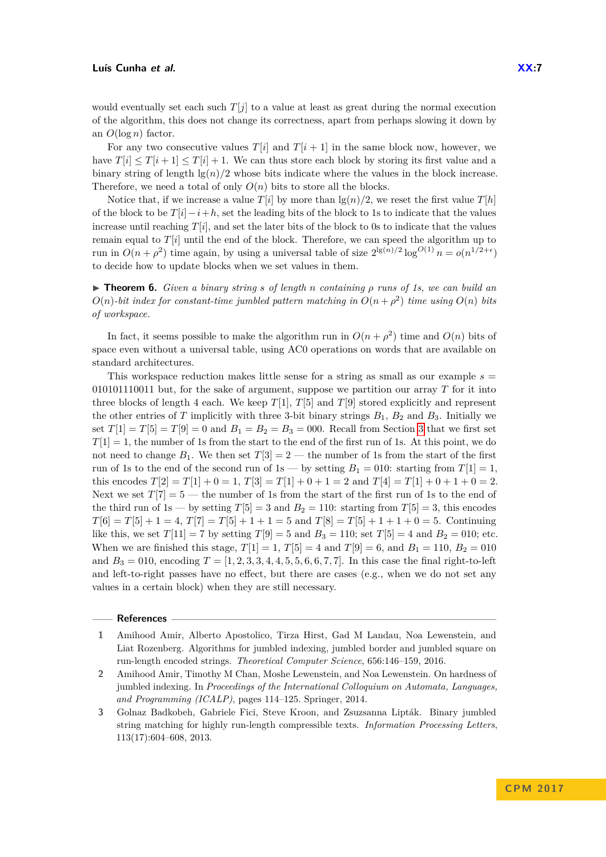would eventually set each such  $T[i]$  to a value at least as great during the normal execution

of the algorithm, this does not change its correctness, apart from perhaps slowing it down by an *O*(log *n*) factor.

For any two consecutive values  $T[i]$  and  $T[i+1]$  in the same block now, however, we have  $T[i] \leq T[i+1] \leq T[i]+1$ . We can thus store each block by storing its first value and a binary string of length  $\lg(n)/2$  whose bits indicate where the values in the block increase. Therefore, we need a total of only  $O(n)$  bits to store all the blocks.

Notice that, if we increase a value  $T[i]$  by more than  $\lg(n)/2$ , we reset the first value  $T[h]$ of the block to be *T*[*i*]−*i*+*h*, set the leading bits of the block to 1s to indicate that the values increase until reaching  $T[i]$ , and set the later bits of the block to 0s to indicate that the values remain equal to  $T[i]$  until the end of the block. Therefore, we can speed the algorithm up to run in  $O(n + \rho^2)$  time again, by using a universal table of size  $2^{\lg(n)/2} \log^{O(1)} n = o(n^{1/2+\epsilon})$ to decide how to update blocks when we set values in them.

I **Theorem 6.** *Given a binary string s of length n containing ρ runs of 1s, we can build an*  $O(n)$ -bit index for constant-time jumbled pattern matching in  $O(n + \rho^2)$  time using  $O(n)$  bits *of workspace.*

In fact, it seems possible to make the algorithm run in  $O(n + \rho^2)$  time and  $O(n)$  bits of space even without a universal table, using AC0 operations on words that are available on standard architectures.

This workspace reduction makes little sense for a string as small as our example  $s =$ 010101110011 but, for the sake of argument, suppose we partition our array *T* for it into three blocks of length 4 each. We keep  $T[1]$ ,  $T[5]$  and  $T[9]$  stored explicitly and represent the other entries of *T* implicitly with three 3-bit binary strings  $B_1$ ,  $B_2$  and  $B_3$ . Initially we set  $T[1] = T[5] = T[9] = 0$  and  $B_1 = B_2 = B_3 = 000$ . Recall from Section [3](#page-2-0) that we first set  $T[1] = 1$ , the number of 1s from the start to the end of the first run of 1s. At this point, we do not need to change  $B_1$ . We then set  $T[3] = 2$  — the number of 1s from the start of the first run of 1s to the end of the second run of 1s — by setting  $B_1 = 010$ : starting from  $T[1] = 1$ , this encodes  $T[2] = T[1] + 0 = 1$ ,  $T[3] = T[1] + 0 + 1 = 2$  and  $T[4] = T[1] + 0 + 1 + 0 = 2$ . Next we set  $T[7] = 5$  — the number of 1s from the start of the first run of 1s to the end of the third run of 1s — by setting  $T[5] = 3$  and  $B_2 = 110$ : starting from  $T[5] = 3$ , this encodes  $T[6] = T[5] + 1 = 4, T[7] = T[5] + 1 + 1 = 5$  and  $T[8] = T[5] + 1 + 1 + 0 = 5$ . Continuing like this, we set  $T[11] = 7$  by setting  $T[9] = 5$  and  $B_3 = 110$ ; set  $T[5] = 4$  and  $B_2 = 010$ ; etc. When we are finished this stage,  $T[1] = 1$ ,  $T[5] = 4$  and  $T[9] = 6$ , and  $B_1 = 110$ ,  $B_2 = 010$ and  $B_3 = 010$ , encoding  $T = [1, 2, 3, 3, 4, 4, 5, 5, 6, 6, 7, 7]$ . In this case the final right-to-left and left-to-right passes have no effect, but there are cases (e.g., when we do not set any values in a certain block) when they are still necessary.

#### **References**

- <span id="page-6-0"></span>**2** Amihood Amir, Timothy M Chan, Moshe Lewenstein, and Noa Lewenstein. On hardness of jumbled indexing. In *Proceedings of the International Colloquium on Automata, Languages, and Programming (ICALP)*, pages 114–125. Springer, 2014.
- <span id="page-6-1"></span>**3** Golnaz Badkobeh, Gabriele Fici, Steve Kroon, and Zsuzsanna Lipták. Binary jumbled string matching for highly run-length compressible texts. *Information Processing Letters*, 113(17):604–608, 2013.

<span id="page-6-2"></span>**<sup>1</sup>** Amihood Amir, Alberto Apostolico, Tirza Hirst, Gad M Landau, Noa Lewenstein, and Liat Rozenberg. Algorithms for jumbled indexing, jumbled border and jumbled square on run-length encoded strings. *Theoretical Computer Science*, 656:146–159, 2016.